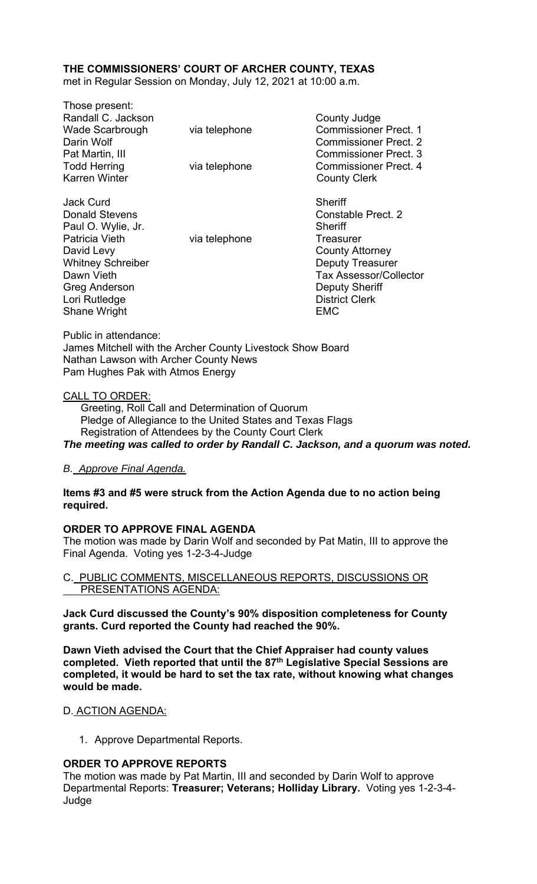# **THE COMMISSIONERS' COURT OF ARCHER COUNTY, TEXAS**

met in Regular Session on Monday, July 12, 2021 at 10:00 a.m.

Those present: Randall C. Jackson County Judge Wade Scarbrough via telephone Commissioner Prect. 1 Darin Wolf Commissioner Prect. 2 Pat Martin, III Commissioner Prect. 3 Todd Herring Todd Herring via telephone Commissioner Prect. 4 Karren Winter **County Clerk** Jack Curd **Sheriff** 

Donald Stevens **Constable Prect.** 2 Paul O. Wylie, Jr. Sheriff Patricia Vieth via telephone Treasurer David Levy **County Attorney** Whitney Schreiber **Deputy Treasurer Deputy Treasurer** Dawn Vieth **Tax Assessor/Collector** Greg Anderson **Deputy Sheriff** Lori Rutledge **District Clerk** Shane Wright **EMC** 

Public in attendance: James Mitchell with the Archer County Livestock Show Board Nathan Lawson with Archer County News Pam Hughes Pak with Atmos Energy

#### CALL TO ORDER:

 Greeting, Roll Call and Determination of Quorum Pledge of Allegiance to the United States and Texas Flags Registration of Attendees by the County Court Clerk *The meeting was called to order by Randall C. Jackson, and a quorum was noted.* 

#### *B. Approve Final Agenda.*

#### **Items #3 and #5 were struck from the Action Agenda due to no action being required.**

#### **ORDER TO APPROVE FINAL AGENDA**

The motion was made by Darin Wolf and seconded by Pat Matin, III to approve the Final Agenda. Voting yes 1-2-3-4-Judge

C. PUBLIC COMMENTS, MISCELLANEOUS REPORTS, DISCUSSIONS OR PRESENTATIONS AGENDA:

**Jack Curd discussed the County's 90% disposition completeness for County grants. Curd reported the County had reached the 90%.** 

**Dawn Vieth advised the Court that the Chief Appraiser had county values completed. Vieth reported that until the 87th Legislative Special Sessions are completed, it would be hard to set the tax rate, without knowing what changes would be made.** 

#### D. ACTION AGENDA:

1. Approve Departmental Reports.

#### **ORDER TO APPROVE REPORTS**

The motion was made by Pat Martin, III and seconded by Darin Wolf to approve Departmental Reports: **Treasurer; Veterans; Holliday Library.** Voting yes 1-2-3-4- Judge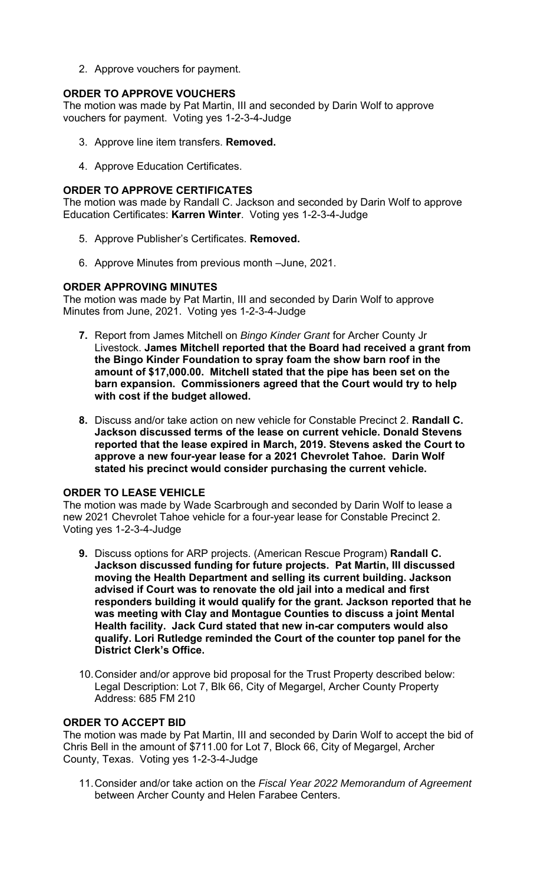2. Approve vouchers for payment.

# **ORDER TO APPROVE VOUCHERS**

The motion was made by Pat Martin, III and seconded by Darin Wolf to approve vouchers for payment. Voting yes 1-2-3-4-Judge

- 3. Approve line item transfers. **Removed.**
- 4. Approve Education Certificates.

# **ORDER TO APPROVE CERTIFICATES**

The motion was made by Randall C. Jackson and seconded by Darin Wolf to approve Education Certificates: **Karren Winter**. Voting yes 1-2-3-4-Judge

- 5. Approve Publisher's Certificates. **Removed.**
- 6. Approve Minutes from previous month –June, 2021.

### **ORDER APPROVING MINUTES**

The motion was made by Pat Martin, III and seconded by Darin Wolf to approve Minutes from June, 2021. Voting yes 1-2-3-4-Judge

- **7.** Report from James Mitchell on *Bingo Kinder Grant* for Archer County Jr Livestock. **James Mitchell reported that the Board had received a grant from the Bingo Kinder Foundation to spray foam the show barn roof in the amount of \$17,000.00. Mitchell stated that the pipe has been set on the barn expansion. Commissioners agreed that the Court would try to help with cost if the budget allowed.**
- **8.** Discuss and/or take action on new vehicle for Constable Precinct 2. **Randall C. Jackson discussed terms of the lease on current vehicle. Donald Stevens reported that the lease expired in March, 2019. Stevens asked the Court to approve a new four-year lease for a 2021 Chevrolet Tahoe. Darin Wolf stated his precinct would consider purchasing the current vehicle.**

# **ORDER TO LEASE VEHICLE**

The motion was made by Wade Scarbrough and seconded by Darin Wolf to lease a new 2021 Chevrolet Tahoe vehicle for a four-year lease for Constable Precinct 2. Voting yes 1-2-3-4-Judge

- **9.** Discuss options for ARP projects. (American Rescue Program) **Randall C. Jackson discussed funding for future projects. Pat Martin, III discussed moving the Health Department and selling its current building. Jackson advised if Court was to renovate the old jail into a medical and first responders building it would qualify for the grant. Jackson reported that he was meeting with Clay and Montague Counties to discuss a joint Mental Health facility. Jack Curd stated that new in-car computers would also qualify. Lori Rutledge reminded the Court of the counter top panel for the District Clerk's Office.**
- 10. Consider and/or approve bid proposal for the Trust Property described below: Legal Description: Lot 7, Blk 66, City of Megargel, Archer County Property Address: 685 FM 210

#### **ORDER TO ACCEPT BID**

The motion was made by Pat Martin, III and seconded by Darin Wolf to accept the bid of Chris Bell in the amount of \$711.00 for Lot 7, Block 66, City of Megargel, Archer County, Texas. Voting yes 1-2-3-4-Judge

11. Consider and/or take action on the *Fiscal Year 2022 Memorandum of Agreement*  between Archer County and Helen Farabee Centers.